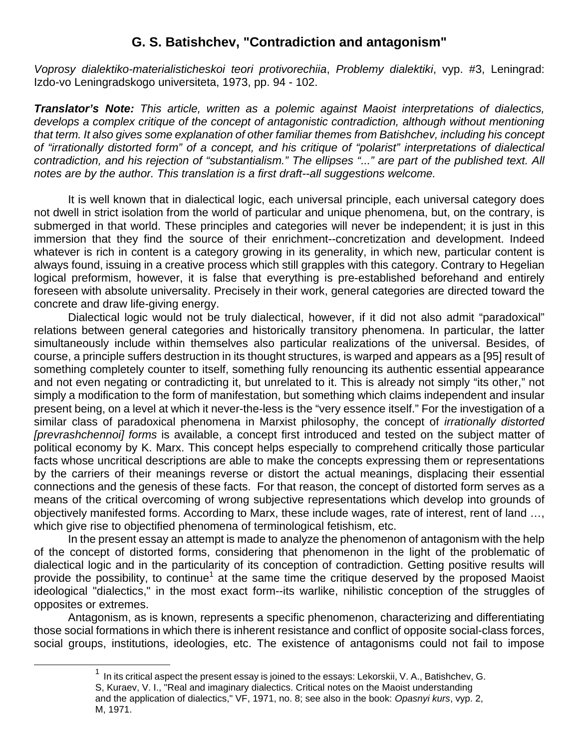## **G. S. Batishchev, "Contradiction and antagonism"**

*Voprosy dialektiko-materialisticheskoi teori protivorechiia*, *Problemy dialektiki*, vyp. #3, Leningrad: Izdo-vo Leningradskogo universiteta, 1973, pp. 94 - 102.

*Translator's Note: This article, written as a polemic against Maoist interpretations of dialectics,*  develops a complex critique of the concept of antagonistic contradiction, although without mentioning *that term. It also gives some explanation of other familiar themes from Batishchev, including his concept of "irrationally distorted form" of a concept, and his critique of "polarist" interpretations of dialectical contradiction, and his rejection of "substantialism." The ellipses "..." are part of the published text. All notes are by the author. This translation is a first draft--all suggestions welcome.* 

 It is well known that in dialectical logic, each universal principle, each universal category does not dwell in strict isolation from the world of particular and unique phenomena, but, on the contrary, is submerged in that world. These principles and categories will never be independent; it is just in this immersion that they find the source of their enrichment--concretization and development. Indeed whatever is rich in content is a category growing in its generality, in which new, particular content is always found, issuing in a creative process which still grapples with this category. Contrary to Hegelian logical preformism, however, it is false that everything is pre-established beforehand and entirely foreseen with absolute universality. Precisely in their work, general categories are directed toward the concrete and draw life-giving energy.

 Dialectical logic would not be truly dialectical, however, if it did not also admit "paradoxical" relations between general categories and historically transitory phenomena. In particular, the latter simultaneously include within themselves also particular realizations of the universal. Besides, of course, a principle suffers destruction in its thought structures, is warped and appears as a [95] result of something completely counter to itself, something fully renouncing its authentic essential appearance and not even negating or contradicting it, but unrelated to it. This is already not simply "its other," not simply a modification to the form of manifestation, but something which claims independent and insular present being, on a level at which it never-the-less is the "very essence itself." For the investigation of a similar class of paradoxical phenomena in Marxist philosophy, the concept of *irrationally distorted [prevrashchennoi] forms* is available, a concept first introduced and tested on the subject matter of political economy by K. Marx. This concept helps especially to comprehend critically those particular facts whose uncritical descriptions are able to make the concepts expressing them or representations by the carriers of their meanings reverse or distort the actual meanings, displacing their essential connections and the genesis of these facts. For that reason, the concept of distorted form serves as a means of the critical overcoming of wrong subjective representations which develop into grounds of objectively manifested forms. According to Marx, these include wages, rate of interest, rent of land …, which give rise to objectified phenomena of terminological fetishism, etc.

 In the present essay an attempt is made to analyze the phenomenon of antagonism with the help of the concept of distorted forms, considering that phenomenon in the light of the problematic of dialectical logic and in the particularity of its conception of contradiction. Getting positive results will provide the possibility, to continue<sup>1</sup> at the same time the critique deserved by the proposed Maoist ideological "dialectics," in the most exact form--its warlike, nihilistic conception of the struggles of opposites or extremes.

 Antagonism, as is known, represents a specific phenomenon, characterizing and differentiating those social formations in which there is inherent resistance and conflict of opposite social-class forces, social groups, institutions, ideologies, etc. The existence of antagonisms could not fail to impose

 $1$  In its critical aspect the present essay is joined to the essays: Lekorskii, V. A., Batishchev, G. S, Kuraev, V. I., "Real and imaginary dialectics. Critical notes on the Maoist understanding and the application of dialectics," VF, 1971, no. 8; see also in the book: *Opasnyi kurs*, vyp. 2, M, 1971.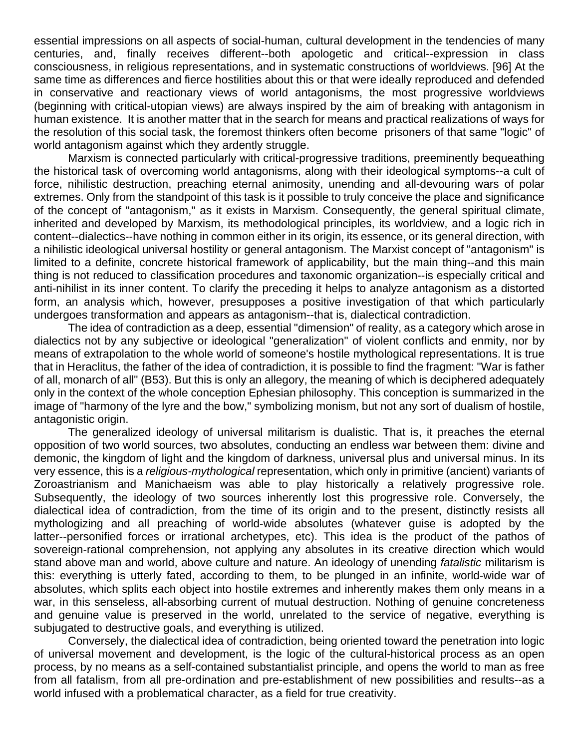essential impressions on all aspects of social-human, cultural development in the tendencies of many centuries, and, finally receives different--both apologetic and critical--expression in class consciousness, in religious representations, and in systematic constructions of worldviews. [96] At the same time as differences and fierce hostilities about this or that were ideally reproduced and defended in conservative and reactionary views of world antagonisms, the most progressive worldviews (beginning with critical-utopian views) are always inspired by the aim of breaking with antagonism in human existence. It is another matter that in the search for means and practical realizations of ways for the resolution of this social task, the foremost thinkers often become prisoners of that same "logic" of world antagonism against which they ardently struggle.

 Marxism is connected particularly with critical-progressive traditions, preeminently bequeathing the historical task of overcoming world antagonisms, along with their ideological symptoms--a cult of force, nihilistic destruction, preaching eternal animosity, unending and all-devouring wars of polar extremes. Only from the standpoint of this task is it possible to truly conceive the place and significance of the concept of "antagonism," as it exists in Marxism. Consequently, the general spiritual climate, inherited and developed by Marxism, its methodological principles, its worldview, and a logic rich in content--dialectics--have nothing in common either in its origin, its essence, or its general direction, with a nihilistic ideological universal hostility or general antagonism. The Marxist concept of "antagonism" is limited to a definite, concrete historical framework of applicability, but the main thing--and this main thing is not reduced to classification procedures and taxonomic organization--is especially critical and anti-nihilist in its inner content. To clarify the preceding it helps to analyze antagonism as a distorted form, an analysis which, however, presupposes a positive investigation of that which particularly undergoes transformation and appears as antagonism--that is, dialectical contradiction.

 The idea of contradiction as a deep, essential "dimension" of reality, as a category which arose in dialectics not by any subjective or ideological "generalization" of violent conflicts and enmity, nor by means of extrapolation to the whole world of someone's hostile mythological representations. It is true that in Heraclitus, the father of the idea of contradiction, it is possible to find the fragment: "War is father of all, monarch of all" (B53). But this is only an allegory, the meaning of which is deciphered adequately only in the context of the whole conception Ephesian philosophy. This conception is summarized in the image of "harmony of the lyre and the bow," symbolizing monism, but not any sort of dualism of hostile, antagonistic origin.

 The generalized ideology of universal militarism is dualistic. That is, it preaches the eternal opposition of two world sources, two absolutes, conducting an endless war between them: divine and demonic, the kingdom of light and the kingdom of darkness, universal plus and universal minus. In its very essence, this is a *religious-mythological* representation, which only in primitive (ancient) variants of Zoroastrianism and Manichaeism was able to play historically a relatively progressive role. Subsequently, the ideology of two sources inherently lost this progressive role. Conversely, the dialectical idea of contradiction, from the time of its origin and to the present, distinctly resists all mythologizing and all preaching of world-wide absolutes (whatever guise is adopted by the latter--personified forces or irrational archetypes, etc). This idea is the product of the pathos of sovereign-rational comprehension, not applying any absolutes in its creative direction which would stand above man and world, above culture and nature. An ideology of unending *fatalistic* militarism is this: everything is utterly fated, according to them, to be plunged in an infinite, world-wide war of absolutes, which splits each object into hostile extremes and inherently makes them only means in a war, in this senseless, all-absorbing current of mutual destruction. Nothing of genuine concreteness and genuine value is preserved in the world, unrelated to the service of negative, everything is subjugated to destructive goals, and everything is utilized.

 Conversely, the dialectical idea of contradiction, being oriented toward the penetration into logic of universal movement and development, is the logic of the cultural-historical process as an open process, by no means as a self-contained substantialist principle, and opens the world to man as free from all fatalism, from all pre-ordination and pre-establishment of new possibilities and results--as a world infused with a problematical character, as a field for true creativity.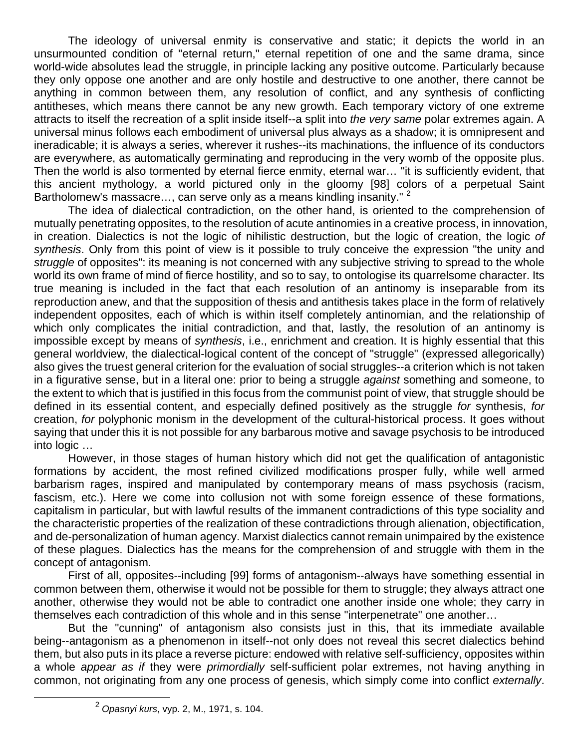The ideology of universal enmity is conservative and static; it depicts the world in an unsurmounted condition of "eternal return," eternal repetition of one and the same drama, since world-wide absolutes lead the struggle, in principle lacking any positive outcome. Particularly because they only oppose one another and are only hostile and destructive to one another, there cannot be anything in common between them, any resolution of conflict, and any synthesis of conflicting antitheses, which means there cannot be any new growth. Each temporary victory of one extreme attracts to itself the recreation of a split inside itself--a split into *the very same* polar extremes again. A universal minus follows each embodiment of universal plus always as a shadow; it is omnipresent and ineradicable; it is always a series, wherever it rushes--its machinations, the influence of its conductors are everywhere, as automatically germinating and reproducing in the very womb of the opposite plus. Then the world is also tormented by eternal fierce enmity, eternal war… "it is sufficiently evident, that this ancient mythology, a world pictured only in the gloomy [98] colors of a perpetual Saint Bartholomew's massacre..., can serve only as a means kindling insanity." <sup>2</sup>

 The idea of dialectical contradiction, on the other hand, is oriented to the comprehension of mutually penetrating opposites, to the resolution of acute antinomies in a creative process, in innovation, in creation. Dialectics is not the logic of nihilistic destruction, but the logic of creation, the logic *of synthesis*. Only from this point of view is it possible to truly conceive the expression "the unity and *struggle* of opposites": its meaning is not concerned with any subjective striving to spread to the whole world its own frame of mind of fierce hostility, and so to say, to ontologise its quarrelsome character. Its true meaning is included in the fact that each resolution of an antinomy is inseparable from its reproduction anew, and that the supposition of thesis and antithesis takes place in the form of relatively independent opposites, each of which is within itself completely antinomian, and the relationship of which only complicates the initial contradiction, and that, lastly, the resolution of an antinomy is impossible except by means of *synthesis*, i.e., enrichment and creation. It is highly essential that this general worldview, the dialectical-logical content of the concept of "struggle" (expressed allegorically) also gives the truest general criterion for the evaluation of social struggles--a criterion which is not taken in a figurative sense, but in a literal one: prior to being a struggle *against* something and someone, to the extent to which that is justified in this focus from the communist point of view, that struggle should be defined in its essential content, and especially defined positively as the struggle *for* synthesis, *for* creation, *for* polyphonic monism in the development of the cultural-historical process. It goes without saying that under this it is not possible for any barbarous motive and savage psychosis to be introduced into logic …

 However, in those stages of human history which did not get the qualification of antagonistic formations by accident, the most refined civilized modifications prosper fully, while well armed barbarism rages, inspired and manipulated by contemporary means of mass psychosis (racism, fascism, etc.). Here we come into collusion not with some foreign essence of these formations, capitalism in particular, but with lawful results of the immanent contradictions of this type sociality and the characteristic properties of the realization of these contradictions through alienation, objectification, and de-personalization of human agency. Marxist dialectics cannot remain unimpaired by the existence of these plagues. Dialectics has the means for the comprehension of and struggle with them in the concept of antagonism.

 First of all, opposites--including [99] forms of antagonism--always have something essential in common between them, otherwise it would not be possible for them to struggle; they always attract one another, otherwise they would not be able to contradict one another inside one whole; they carry in themselves each contradiction of this whole and in this sense "interpenetrate" one another…

 But the "cunning" of antagonism also consists just in this, that its immediate available being--antagonism as a phenomenon in itself--not only does not reveal this secret dialectics behind them, but also puts in its place a reverse picture: endowed with relative self-sufficiency, opposites within a whole *appear as if* they were *primordially* self-sufficient polar extremes, not having anything in common, not originating from any one process of genesis, which simply come into conflict *externally*.

<sup>2</sup> *Opasnyi kurs*, vyp. 2, M., 1971, s. 104.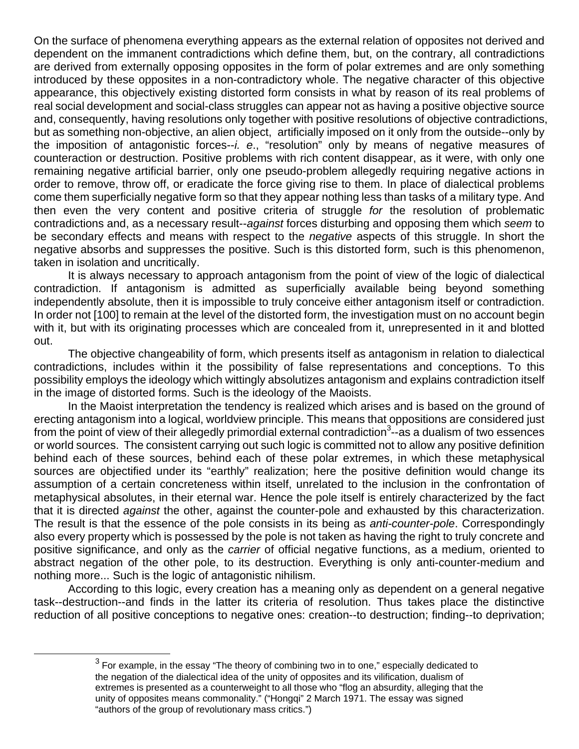On the surface of phenomena everything appears as the external relation of opposites not derived and dependent on the immanent contradictions which define them, but, on the contrary, all contradictions are derived from externally opposing opposites in the form of polar extremes and are only something introduced by these opposites in a non-contradictory whole. The negative character of this objective appearance, this objectively existing distorted form consists in what by reason of its real problems of real social development and social-class struggles can appear not as having a positive objective source and, consequently, having resolutions only together with positive resolutions of objective contradictions, but as something non-objective, an alien object, artificially imposed on it only from the outside--only by the imposition of antagonistic forces--*i. e*., "resolution" only by means of negative measures of counteraction or destruction. Positive problems with rich content disappear, as it were, with only one remaining negative artificial barrier, only one pseudo-problem allegedly requiring negative actions in order to remove, throw off, or eradicate the force giving rise to them. In place of dialectical problems come them superficially negative form so that they appear nothing less than tasks of a military type. And then even the very content and positive criteria of struggle *for* the resolution of problematic contradictions and, as a necessary result--*against* forces disturbing and opposing them which *seem* to be secondary effects and means with respect to the *negative* aspects of this struggle. In short the negative absorbs and suppresses the positive. Such is this distorted form, such is this phenomenon, taken in isolation and uncritically.

 It is always necessary to approach antagonism from the point of view of the logic of dialectical contradiction. If antagonism is admitted as superficially available being beyond something independently absolute, then it is impossible to truly conceive either antagonism itself or contradiction. In order not [100] to remain at the level of the distorted form, the investigation must on no account begin with it, but with its originating processes which are concealed from it, unrepresented in it and blotted out.

 The objective changeability of form, which presents itself as antagonism in relation to dialectical contradictions, includes within it the possibility of false representations and conceptions. To this possibility employs the ideology which wittingly absolutizes antagonism and explains contradiction itself in the image of distorted forms. Such is the ideology of the Maoists.

 In the Maoist interpretation the tendency is realized which arises and is based on the ground of erecting antagonism into a logical, worldview principle. This means that oppositions are considered just from the point of view of their allegedly primordial external contradiction<sup>3</sup>--as a dualism of two essences or world sources. The consistent carrying out such logic is committed not to allow any positive definition behind each of these sources, behind each of these polar extremes, in which these metaphysical sources are objectified under its "earthly" realization; here the positive definition would change its assumption of a certain concreteness within itself, unrelated to the inclusion in the confrontation of metaphysical absolutes, in their eternal war. Hence the pole itself is entirely characterized by the fact that it is directed *against* the other, against the counter-pole and exhausted by this characterization. The result is that the essence of the pole consists in its being as *anti-counter-pole*. Correspondingly also every property which is possessed by the pole is not taken as having the right to truly concrete and positive significance, and only as the *carrier* of official negative functions, as a medium, oriented to abstract negation of the other pole, to its destruction. Everything is only anti-counter-medium and nothing more... Such is the logic of antagonistic nihilism.

 According to this logic, every creation has a meaning only as dependent on a general negative task--destruction--and finds in the latter its criteria of resolution. Thus takes place the distinctive reduction of all positive conceptions to negative ones: creation--to destruction; finding--to deprivation;

 $3$  For example, in the essay "The theory of combining two in to one," especially dedicated to the negation of the dialectical idea of the unity of opposites and its vilification, dualism of extremes is presented as a counterweight to all those who "flog an absurdity, alleging that the unity of opposites means commonality." ("Hongqi" 2 March 1971. The essay was signed "authors of the group of revolutionary mass critics.")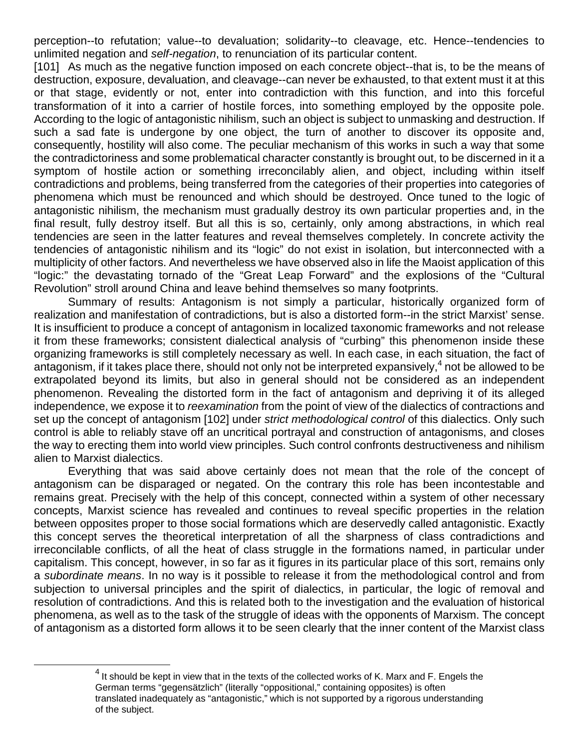perception--to refutation; value--to devaluation; solidarity--to cleavage, etc. Hence--tendencies to unlimited negation and *self-negation*, to renunciation of its particular content.

[101] As much as the negative function imposed on each concrete object--that is, to be the means of destruction, exposure, devaluation, and cleavage--can never be exhausted, to that extent must it at this or that stage, evidently or not, enter into contradiction with this function, and into this forceful transformation of it into a carrier of hostile forces, into something employed by the opposite pole. According to the logic of antagonistic nihilism, such an object is subject to unmasking and destruction. If such a sad fate is undergone by one object, the turn of another to discover its opposite and, consequently, hostility will also come. The peculiar mechanism of this works in such a way that some the contradictoriness and some problematical character constantly is brought out, to be discerned in it a symptom of hostile action or something irreconcilably alien, and object, including within itself contradictions and problems, being transferred from the categories of their properties into categories of phenomena which must be renounced and which should be destroyed. Once tuned to the logic of antagonistic nihilism, the mechanism must gradually destroy its own particular properties and, in the final result, fully destroy itself. But all this is so, certainly, only among abstractions, in which real tendencies are seen in the latter features and reveal themselves completely. In concrete activity the tendencies of antagonistic nihilism and its "logic" do not exist in isolation, but interconnected with a multiplicity of other factors. And nevertheless we have observed also in life the Maoist application of this "logic:" the devastating tornado of the "Great Leap Forward" and the explosions of the "Cultural Revolution" stroll around China and leave behind themselves so many footprints.

 Summary of results: Antagonism is not simply a particular, historically organized form of realization and manifestation of contradictions, but is also a distorted form--in the strict Marxist' sense. It is insufficient to produce a concept of antagonism in localized taxonomic frameworks and not release it from these frameworks; consistent dialectical analysis of "curbing" this phenomenon inside these organizing frameworks is still completely necessary as well. In each case, in each situation, the fact of antagonism, if it takes place there, should not only not be interpreted expansively, $4$  not be allowed to be extrapolated beyond its limits, but also in general should not be considered as an independent phenomenon. Revealing the distorted form in the fact of antagonism and depriving it of its alleged independence, we expose it to *reexamination* from the point of view of the dialectics of contractions and set up the concept of antagonism [102] under *strict methodological control* of this dialectics. Only such control is able to reliably stave off an uncritical portrayal and construction of antagonisms, and closes the way to erecting them into world view principles. Such control confronts destructiveness and nihilism alien to Marxist dialectics.

 Everything that was said above certainly does not mean that the role of the concept of antagonism can be disparaged or negated. On the contrary this role has been incontestable and remains great. Precisely with the help of this concept, connected within a system of other necessary concepts, Marxist science has revealed and continues to reveal specific properties in the relation between opposites proper to those social formations which are deservedly called antagonistic. Exactly this concept serves the theoretical interpretation of all the sharpness of class contradictions and irreconcilable conflicts, of all the heat of class struggle in the formations named, in particular under capitalism. This concept, however, in so far as it figures in its particular place of this sort, remains only a *subordinate means*. In no way is it possible to release it from the methodological control and from subjection to universal principles and the spirit of dialectics, in particular, the logic of removal and resolution of contradictions. And this is related both to the investigation and the evaluation of historical phenomena, as well as to the task of the struggle of ideas with the opponents of Marxism. The concept of antagonism as a distorted form allows it to be seen clearly that the inner content of the Marxist class

 $4$  It should be kept in view that in the texts of the collected works of K. Marx and F. Engels the German terms "gegensätzlich" (literally "oppositional," containing opposites) is often translated inadequately as "antagonistic," which is not supported by a rigorous understanding of the subject.